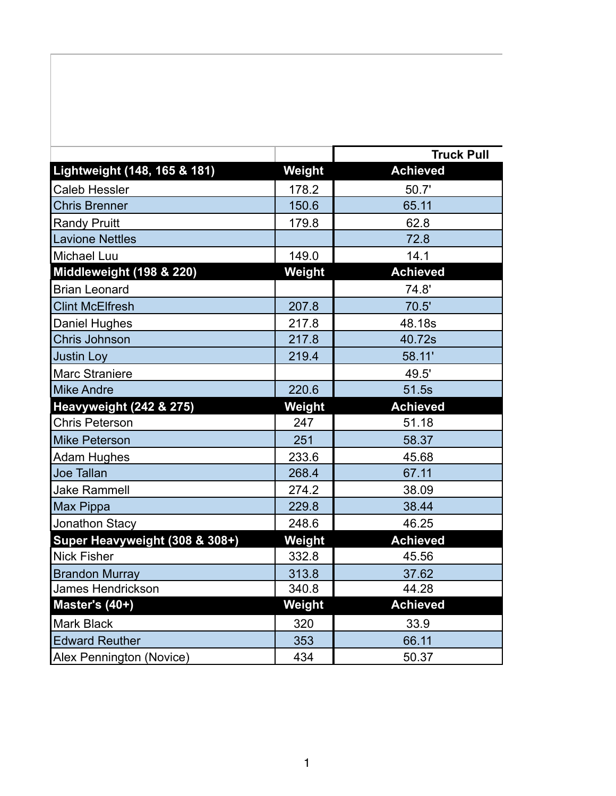|                                    |        | <b>Truck Pull</b> |
|------------------------------------|--------|-------------------|
| Lightweight (148, 165 & 181)       | Weight | <b>Achieved</b>   |
| <b>Caleb Hessler</b>               | 178.2  | 50.7'             |
| <b>Chris Brenner</b>               | 150.6  | 65.11             |
| <b>Randy Pruitt</b>                | 179.8  | 62.8              |
| <b>Lavione Nettles</b>             |        | 72.8              |
| Michael Luu                        | 149.0  | 14.1              |
| Middleweight (198 & 220)           | Weight | <b>Achieved</b>   |
| <b>Brian Leonard</b>               |        | 74.8'             |
| <b>Clint McElfresh</b>             | 207.8  | 70.5'             |
| <b>Daniel Hughes</b>               | 217.8  | 48.18s            |
| Chris Johnson                      | 217.8  | 40.72s            |
| <b>Justin Loy</b>                  | 219.4  | 58.11'            |
| <b>Marc Straniere</b>              |        | 49.5'             |
| <b>Mike Andre</b>                  | 220.6  | 51.5s             |
| <b>Heavyweight (242 &amp; 275)</b> | Weight | <b>Achieved</b>   |
| <b>Chris Peterson</b>              | 247    | 51.18             |
| <b>Mike Peterson</b>               | 251    | 58.37             |
| <b>Adam Hughes</b>                 | 233.6  | 45.68             |
| Joe Tallan                         | 268.4  | 67.11             |
| <b>Jake Rammell</b>                | 274.2  | 38.09             |
| Max Pippa                          | 229.8  | 38.44             |
| Jonathon Stacy                     | 248.6  | 46.25             |
| Super Heavyweight (308 & 308+)     | Weight | <b>Achieved</b>   |
| <b>Nick Fisher</b>                 | 332.8  | 45.56             |
| <b>Brandon Murray</b>              | 313.8  | 37.62             |
| <b>James Hendrickson</b>           | 340.8  | 44.28             |
| Master's (40+)                     | Weight | <b>Achieved</b>   |
| <b>Mark Black</b>                  | 320    | 33.9              |
| <b>Edward Reuther</b>              | 353    | 66.11             |
| Alex Pennington (Novice)           | 434    | 50.37             |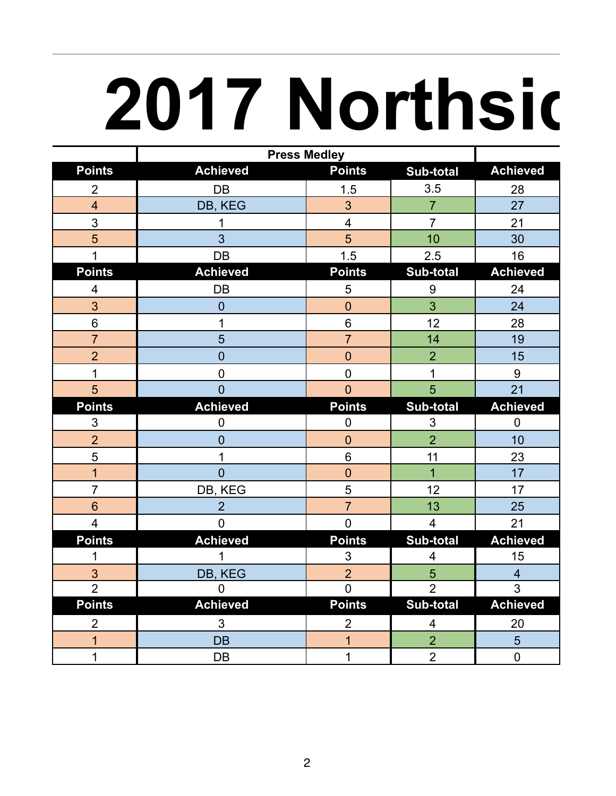## **2017 Northsic**

|                         | <b>Press Medley</b> |                |                  |                 |
|-------------------------|---------------------|----------------|------------------|-----------------|
| <b>Points</b>           | <b>Achieved</b>     | <b>Points</b>  | <b>Sub-total</b> | <b>Achieved</b> |
| $\overline{2}$          | DB                  | 1.5            | 3.5              | 28              |
| $\overline{4}$          | DB, KEG             | 3 <sup>5</sup> | $\overline{7}$   | 27              |
| $\overline{3}$          | 1                   | $\overline{4}$ | $\overline{7}$   | 21              |
| $5\overline{)}$         | $\overline{3}$      | 5              | 10               | 30              |
| $\mathbf{1}$            | DB                  | 1.5            | 2.5              | 16              |
| <b>Points</b>           | <b>Achieved</b>     | <b>Points</b>  | <b>Sub-total</b> | <b>Achieved</b> |
| $\overline{\mathbf{4}}$ | <b>DB</b>           | 5              | $\boldsymbol{9}$ | 24              |
| $\overline{3}$          | $\overline{0}$      | $\mathbf 0$    | 3                | 24              |
| $\,6\,$                 | 1                   | $6\phantom{a}$ | 12               | 28              |
| $\overline{7}$          | 5                   | $\overline{7}$ | 14               | 19              |
| $\overline{2}$          | $\overline{0}$      | $\mathbf 0$    | $\overline{2}$   | 15              |
| $\mathbf{1}$            | $\mathsf{O}\xspace$ | $\mathbf 0$    | $\mathbf 1$      | $9\,$           |
| 5                       | $\overline{0}$      | $\overline{0}$ | $5\overline{)}$  | 21              |
| <b>Points</b>           | <b>Achieved</b>     | <b>Points</b>  | Sub-total        | <b>Achieved</b> |
| $\mathfrak{S}$          | $\pmb{0}$           | $\pmb{0}$      | $\mathfrak{S}$   | $\mathbf 0$     |
| $\overline{2}$          | $\overline{0}$      | $\pmb{0}$      | $\overline{2}$   | 10              |
| 5                       | 1                   | $6\phantom{a}$ | 11               | 23              |
| $\overline{1}$          | $\overline{0}$      | $\mathbf 0$    | $\overline{1}$   | 17              |
| $\overline{7}$          | DB, KEG             | 5              | 12               | 17              |
| $6\overline{6}$         | $\overline{2}$      | $\overline{7}$ | 13               | 25              |
| $\overline{4}$          | $\overline{0}$      | $\overline{0}$ | $\overline{4}$   | 21              |
| <b>Points</b>           | <b>Achieved</b>     | <b>Points</b>  | <b>Sub-total</b> | <b>Achieved</b> |
| $\mathbf 1$             | $\mathbf{1}$        | 3              | $\overline{4}$   | 15              |
| $\mathfrak{S}$          | DB, KEG             | $\overline{2}$ | $\overline{5}$   | $\overline{4}$  |
| $\overline{2}$          | $\overline{0}$      | $\overline{0}$ | $\overline{2}$   | $\overline{3}$  |
| <b>Points</b>           | <b>Achieved</b>     | <b>Points</b>  | <b>Sub-total</b> | <b>Achieved</b> |
| $\overline{2}$          | $\mathbf{3}$        | $\overline{2}$ | $\overline{4}$   | 20              |
| $\mathbf{1}$            | <b>DB</b>           | $\mathbf{1}$   | $\overline{2}$   | $5\overline{)}$ |
| $\mathbf{1}$            | DB                  | $\mathbf{1}$   | $\overline{2}$   | $\mathbf 0$     |
|                         |                     |                |                  |                 |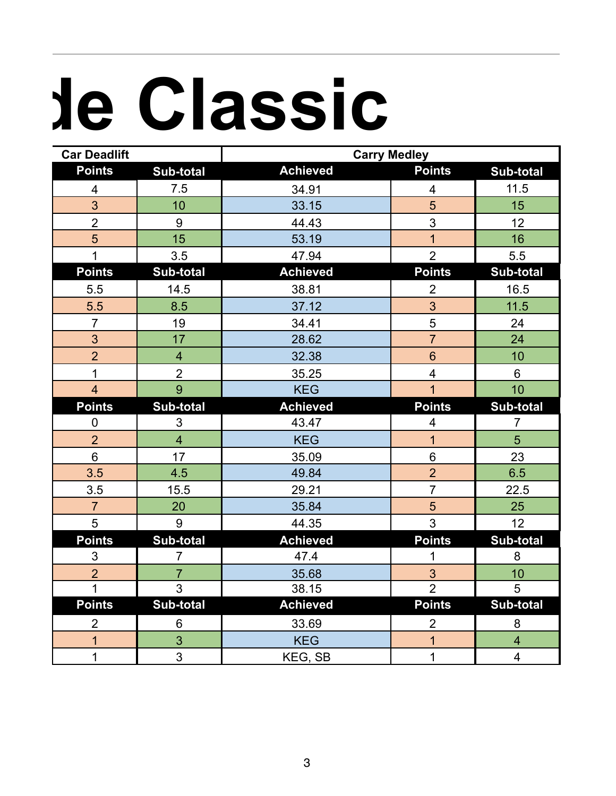## **2017 Northside Classic**

| <b>Car Deadlift</b>     |                         | <b>Carry Medley</b> |                         |                         |
|-------------------------|-------------------------|---------------------|-------------------------|-------------------------|
| <b>Points</b>           | Sub-total               | <b>Achieved</b>     | <b>Points</b>           | Sub-total               |
| $\overline{\mathbf{4}}$ | 7.5                     | 34.91               | $\overline{\mathbf{4}}$ | 11.5                    |
| 3                       | 10                      | 33.15               | 5                       | 15                      |
| $\overline{2}$          | 9                       | 44.43               | 3                       | 12                      |
| 5                       | 15                      | 53.19               | $\overline{1}$          | 16                      |
| $\mathbf{1}$            | 3.5                     | 47.94               | $\overline{2}$          | 5.5                     |
| <b>Points</b>           | <b>Sub-total</b>        | <b>Achieved</b>     | <b>Points</b>           | <b>Sub-total</b>        |
| 5.5                     | 14.5                    | 38.81               | $\overline{2}$          | 16.5                    |
| 5.5                     | 8.5                     | 37.12               | 3                       | 11.5                    |
| $\overline{7}$          | 19                      | 34.41               | 5                       | 24                      |
| 3                       | 17                      | 28.62               | $\overline{7}$          | 24                      |
| $\overline{2}$          | $\overline{\mathbf{4}}$ | 32.38               | $6\phantom{1}$          | 10                      |
| $\mathbf 1$             | $\overline{2}$          | 35.25               | $\overline{\mathbf{4}}$ | 6                       |
| $\overline{4}$          | 9                       | <b>KEG</b>          | $\mathbf{1}$            | 10                      |
| <b>Points</b>           | <b>Sub-total</b>        | <b>Achieved</b>     | <b>Points</b>           | Sub-total               |
| $\mathbf 0$             | $\mathfrak{S}$          | 43.47               | $\overline{4}$          | $\overline{7}$          |
| $\overline{2}$          | $\overline{4}$          | <b>KEG</b>          | $\overline{1}$          | 5                       |
| $6\phantom{a}$          | 17                      | 35.09               | $6\phantom{a}$          | 23                      |
| 3.5                     | 4.5                     | 49.84               | $\overline{2}$          | 6.5                     |
| 3.5                     | 15.5                    | 29.21               | $\overline{7}$          | 22.5                    |
| $\overline{7}$          | 20                      | 35.84               | 5                       | 25                      |
| 5                       | 9                       | 44.35               | $\overline{3}$          | 12                      |
| <b>Points</b>           | <b>Sub-total</b>        | <b>Achieved</b>     | <b>Points</b>           | <b>Sub-total</b>        |
| 3                       | $\overline{7}$          | 47.4                | 1                       | 8                       |
| $\overline{2}$          | $\overline{7}$          | 35.68               | 3                       | 10                      |
| $\mathbf{1}$            | 3                       | 38.15               | $\overline{2}$          | 5                       |
| <b>Points</b>           | <b>Sub-total</b>        | <b>Achieved</b>     | <b>Points</b>           | <b>Sub-total</b>        |
| $\overline{2}$          | 6                       | 33.69               | $\overline{2}$          | 8                       |
| $\overline{1}$          | 3                       | <b>KEG</b>          | $\overline{1}$          | $\overline{\mathbf{4}}$ |
| 1                       | 3                       | KEG, SB             | 1                       | $\overline{\mathbf{4}}$ |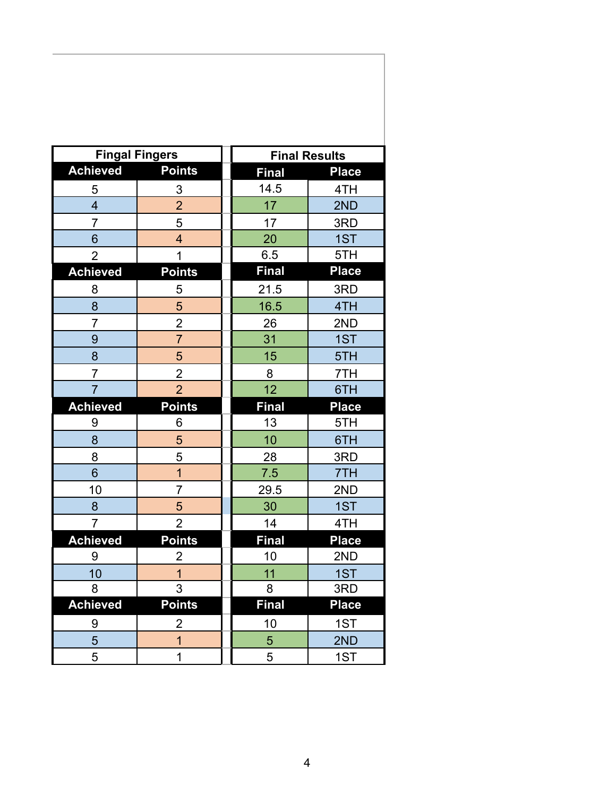| <b>Fingal Fingers</b> |                         |              | <b>Final Results</b> |
|-----------------------|-------------------------|--------------|----------------------|
| <b>Achieved</b>       | <b>Points</b>           | <b>Final</b> | <b>Place</b>         |
| 5                     | 3                       | 14.5         | 4TH                  |
| $\overline{4}$        | $\overline{2}$          | 17           | 2ND                  |
| $\overline{7}$        | 5                       | 17           | 3RD                  |
| 6                     | $\overline{\mathbf{4}}$ | 20           | 1ST                  |
| $\overline{2}$        | 1                       | 6.5          | 5TH                  |
| <b>Achieved</b>       | <b>Points</b>           | <b>Final</b> | <b>Place</b>         |
| 8                     | 5                       | 21.5         | 3RD                  |
| 8                     | 5                       | 16.5         | 4TH                  |
| $\overline{7}$        | $\overline{2}$          | 26           | 2ND                  |
| 9                     | $\overline{7}$          | 31           | 1ST                  |
| 8                     | 5                       | 15           | 5TH                  |
| $\overline{7}$        | $\overline{2}$          | 8            | 7TH                  |
| $\overline{7}$        | $\overline{2}$          | 12           | 6TH                  |
| <b>Achieved</b>       | <b>Points</b>           | <b>Final</b> | <b>Place</b>         |
| 9                     | 6                       | 13           | 5TH                  |
| 8                     | 5                       | 10           | 6TH                  |
| 8                     | 5                       | 28           | 3RD                  |
| 6                     | 1                       | 7.5          | 7TH                  |
| 10                    | $\overline{7}$          | 29.5         | 2ND                  |
| 8                     | 5                       | 30           | 1ST                  |
| 7                     | $\overline{2}$          | 14           | 4TH                  |
| <b>Achieved</b>       | <b>Points</b>           | <b>Final</b> | <b>Place</b>         |
| 9                     | $\overline{c}$          | 10           | 2ND                  |
| 10                    | $\overline{1}$          | 11           | 1ST                  |
| 8                     | $\overline{3}$          | 8            | 3RD                  |
| <b>Achieved</b>       | Points                  | Final        | <b>Place</b>         |
| 9                     | $\overline{2}$          | 10           | 1ST                  |
| $\overline{5}$        | $\overline{1}$          | 5            | 2ND                  |
| 5                     | 1                       | 5            | 1ST                  |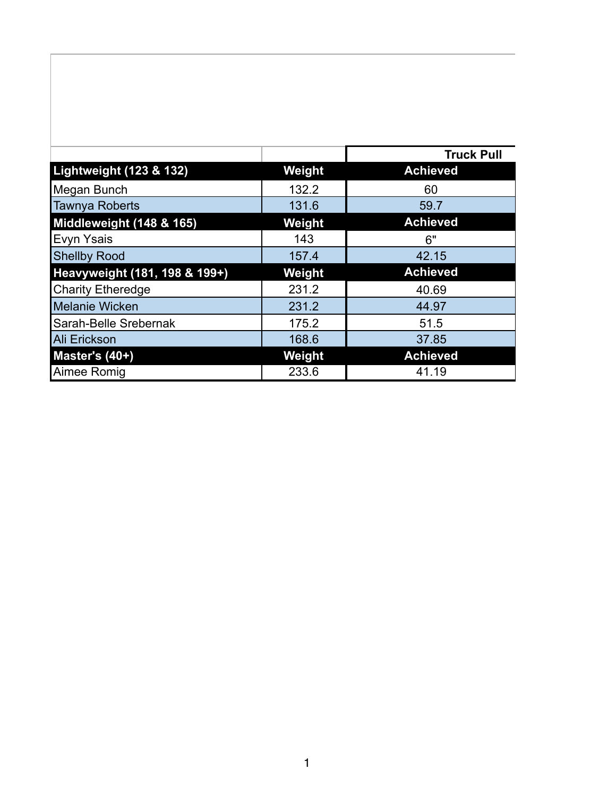|                               |        | <b>Truck Pull</b> |
|-------------------------------|--------|-------------------|
| Lightweight (123 & 132)       | Weight | <b>Achieved</b>   |
| Megan Bunch                   | 132.2  | 60                |
| Tawnya Roberts                | 131.6  | 59.7              |
| Middleweight (148 & 165)      | Weight | <b>Achieved</b>   |
| Evyn Ysais                    | 143    | 6"                |
| <b>Shellby Rood</b>           | 157.4  | 42.15             |
| Heavyweight (181, 198 & 199+) | Weight | <b>Achieved</b>   |
| <b>Charity Etheredge</b>      | 231.2  | 40.69             |
| <b>Melanie Wicken</b>         | 231.2  | 44.97             |
| Sarah-Belle Srebernak         | 175.2  | 51.5              |
| <b>Ali Erickson</b>           | 168.6  | 37.85             |
| Master's (40+)                | Weight | <b>Achieved</b>   |
| Aimee Romig                   | 233.6  | 41.19             |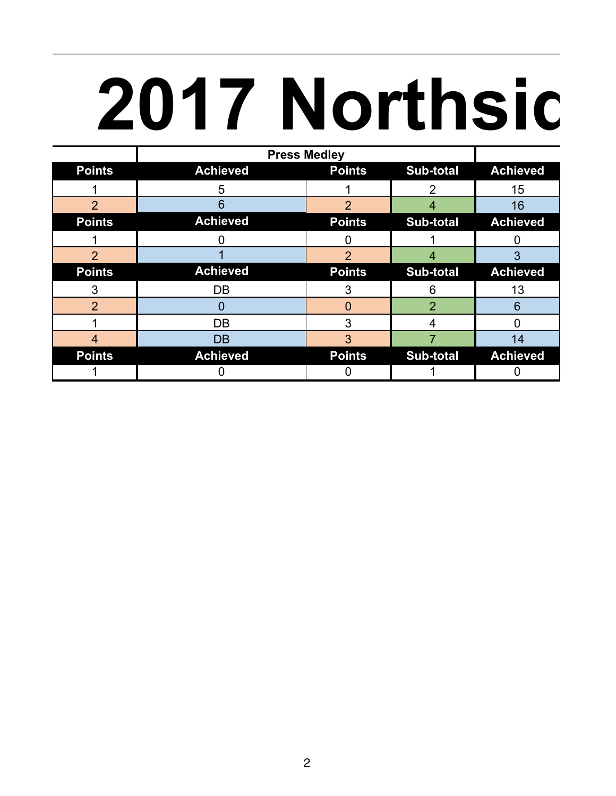## **2017 Northsic**

|                | <b>Press Medley</b> |                |                |                 |
|----------------|---------------------|----------------|----------------|-----------------|
| <b>Points</b>  | <b>Achieved</b>     | <b>Points</b>  | Sub-total      | <b>Achieved</b> |
|                | 5                   |                | 2              | 15              |
| $\overline{2}$ | 6                   | 2              |                | 16              |
| <b>Points</b>  | <b>Achieved</b>     | <b>Points</b>  | Sub-total      | <b>Achieved</b> |
|                |                     |                |                |                 |
| $\overline{2}$ |                     | $\overline{2}$ | 4              | 3               |
| <b>Points</b>  | <b>Achieved</b>     | <b>Points</b>  | Sub-total      | <b>Achieved</b> |
| 3              | DB                  | 3              | 6              | 13              |
| $\overline{2}$ | 0                   | $\Omega$       | $\overline{2}$ | 6               |
|                | DB                  | 3              | 4              |                 |
| 4              | <b>DB</b>           | 3              |                | 14              |
| <b>Points</b>  | <b>Achieved</b>     | <b>Points</b>  | Sub-total      | <b>Achieved</b> |
|                |                     |                |                |                 |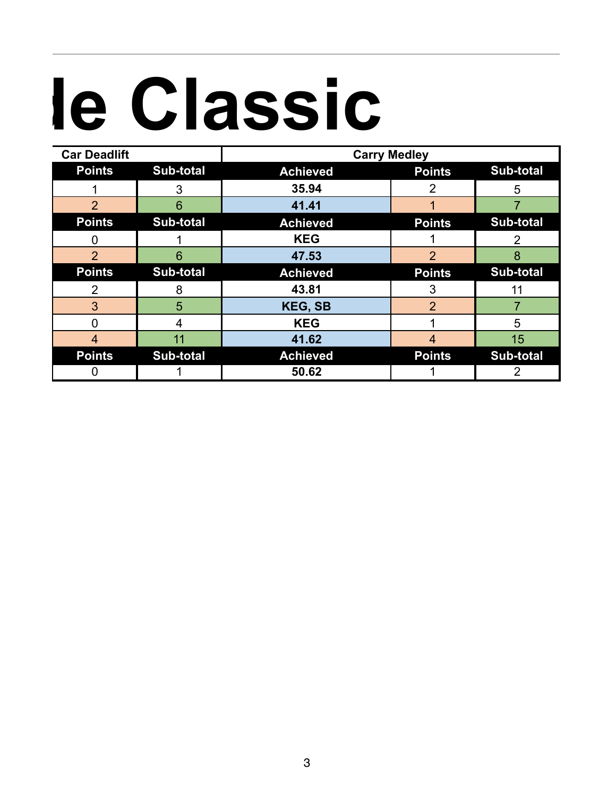## le Classic

| <b>Car Deadlift</b> |                  | <b>Carry Medley</b> |                |           |
|---------------------|------------------|---------------------|----------------|-----------|
| <b>Points</b>       | <b>Sub-total</b> | <b>Achieved</b>     | <b>Points</b>  | Sub-total |
|                     | 3                | 35.94               | $\overline{2}$ | 5         |
| $\overline{2}$      | 6                | 41.41               |                |           |
| <b>Points</b>       | <b>Sub-total</b> | <b>Achieved</b>     | <b>Points</b>  | Sub-total |
|                     |                  | <b>KEG</b>          |                |           |
| $\overline{2}$      | 6                | 47.53               | $\overline{2}$ | 8         |
|                     |                  |                     |                |           |
| <b>Points</b>       | <b>Sub-total</b> | <b>Achieved</b>     | <b>Points</b>  | Sub-total |
| 2                   | 8                | 43.81               | 3              | 11        |
| 3                   | 5                | <b>KEG, SB</b>      | $\overline{2}$ |           |
| 0                   | 4                | <b>KEG</b>          |                | 5         |
| 4                   | 11               | 41.62               | $\overline{4}$ | 15        |
| <b>Points</b>       | <b>Sub-total</b> | <b>Achieved</b>     | <b>Points</b>  | Sub-total |